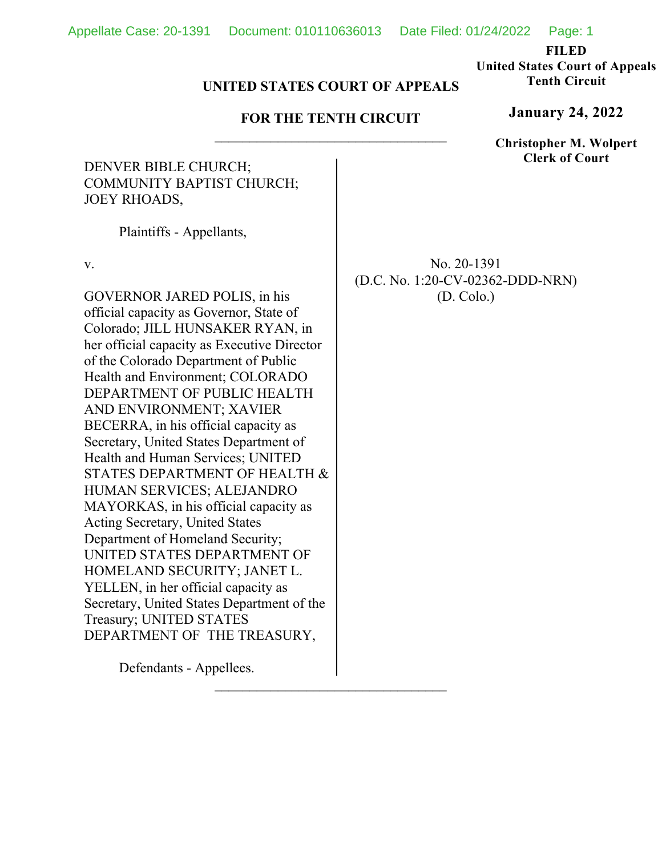**FILED** 

**United States Court of Appeals Tenth Circuit** 

# **UNITED STATES COURT OF APPEALS**

# **FOR THE TENTH CIRCUIT**

# DENVER BIBLE CHURCH; COMMUNITY BAPTIST CHURCH; JOEY RHOADS,

Plaintiffs - Appellants,

v.

GOVERNOR JARED POLIS, in his official capacity as Governor, State of Colorado; JILL HUNSAKER RYAN, in her official capacity as Executive Director of the Colorado Department of Public Health and Environment; COLORADO DEPARTMENT OF PUBLIC HEALTH AND ENVIRONMENT; XAVIER BECERRA, in his official capacity as Secretary, United States Department of Health and Human Services; UNITED STATES DEPARTMENT OF HEALTH & HUMAN SERVICES; ALEJANDRO MAYORKAS, in his official capacity as Acting Secretary, United States Department of Homeland Security; UNITED STATES DEPARTMENT OF HOMELAND SECURITY; JANET L. YELLEN, in her official capacity as Secretary, United States Department of the Treasury; UNITED STATES DEPARTMENT OF THE TREASURY,

No. 20-1391 (D.C. No. 1:20-CV-02362-DDD-NRN) (D. Colo.)

Defendants - Appellees.

**January 24, 2022**

**Christopher M. Wolpert Clerk of Court**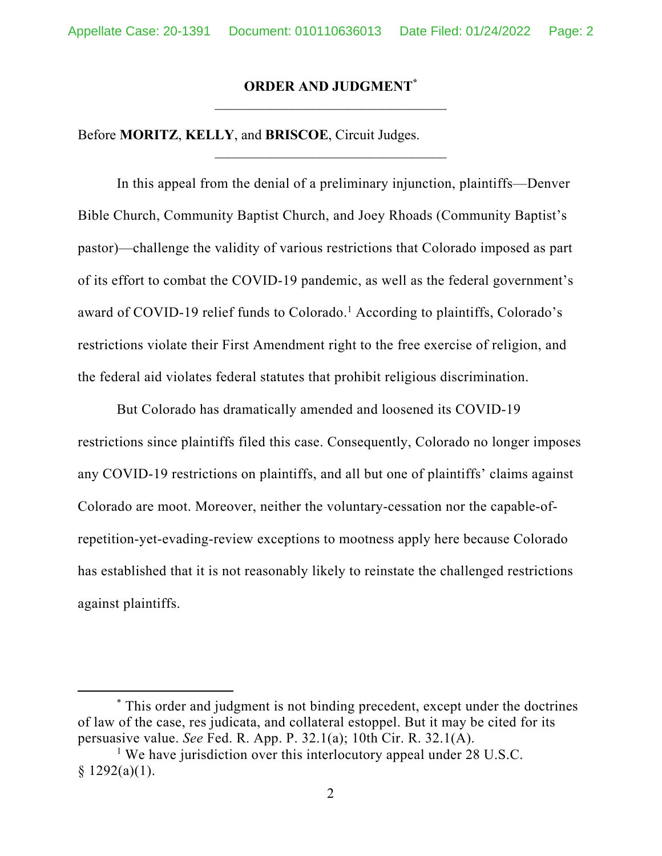# **ORDER AND JUDGMENT\***

Before **MORITZ**, **KELLY**, and **BRISCOE**, Circuit Judges.

In this appeal from the denial of a preliminary injunction, plaintiffs—Denver Bible Church, Community Baptist Church, and Joey Rhoads (Community Baptist's pastor)—challenge the validity of various restrictions that Colorado imposed as part of its effort to combat the COVID-19 pandemic, as well as the federal government's award of COVID-19 relief funds to Colorado.<sup>1</sup> According to plaintiffs, Colorado's restrictions violate their First Amendment right to the free exercise of religion, and the federal aid violates federal statutes that prohibit religious discrimination.

But Colorado has dramatically amended and loosened its COVID-19 restrictions since plaintiffs filed this case. Consequently, Colorado no longer imposes any COVID-19 restrictions on plaintiffs, and all but one of plaintiffs' claims against Colorado are moot. Moreover, neither the voluntary-cessation nor the capable-ofrepetition-yet-evading-review exceptions to mootness apply here because Colorado has established that it is not reasonably likely to reinstate the challenged restrictions against plaintiffs.

<sup>\*</sup> This order and judgment is not binding precedent, except under the doctrines of law of the case, res judicata, and collateral estoppel. But it may be cited for its persuasive value. *See* Fed. R. App. P. 32.1(a); 10th Cir. R. 32.1(A).

<sup>&</sup>lt;sup>1</sup> We have jurisdiction over this interlocutory appeal under 28 U.S.C.  $$1292(a)(1).$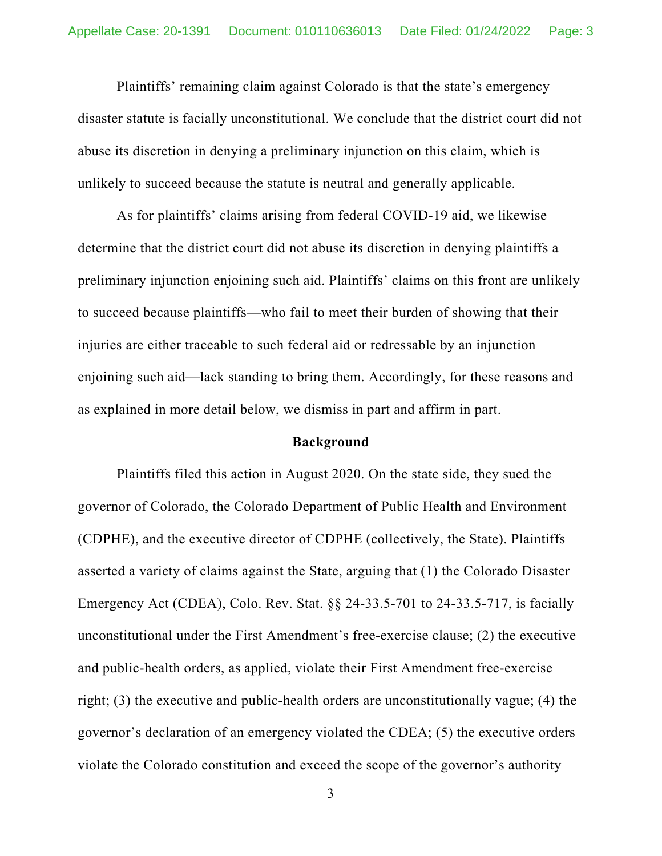Plaintiffs' remaining claim against Colorado is that the state's emergency disaster statute is facially unconstitutional. We conclude that the district court did not abuse its discretion in denying a preliminary injunction on this claim, which is unlikely to succeed because the statute is neutral and generally applicable.

As for plaintiffs' claims arising from federal COVID-19 aid, we likewise determine that the district court did not abuse its discretion in denying plaintiffs a preliminary injunction enjoining such aid. Plaintiffs' claims on this front are unlikely to succeed because plaintiffs—who fail to meet their burden of showing that their injuries are either traceable to such federal aid or redressable by an injunction enjoining such aid—lack standing to bring them. Accordingly, for these reasons and as explained in more detail below, we dismiss in part and affirm in part.

## **Background**

Plaintiffs filed this action in August 2020. On the state side, they sued the governor of Colorado, the Colorado Department of Public Health and Environment (CDPHE), and the executive director of CDPHE (collectively, the State). Plaintiffs asserted a variety of claims against the State, arguing that (1) the Colorado Disaster Emergency Act (CDEA), Colo. Rev. Stat. §§ 24-33.5-701 to 24-33.5-717, is facially unconstitutional under the First Amendment's free-exercise clause; (2) the executive and public-health orders, as applied, violate their First Amendment free-exercise right; (3) the executive and public-health orders are unconstitutionally vague; (4) the governor's declaration of an emergency violated the CDEA; (5) the executive orders violate the Colorado constitution and exceed the scope of the governor's authority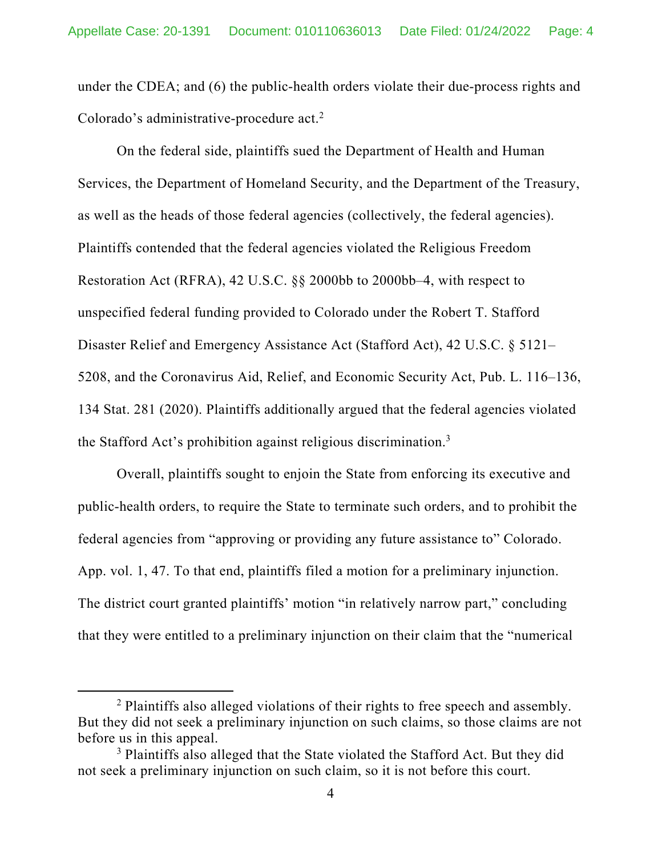under the CDEA; and (6) the public-health orders violate their due-process rights and Colorado's administrative-procedure act.<sup>2</sup>

On the federal side, plaintiffs sued the Department of Health and Human Services, the Department of Homeland Security, and the Department of the Treasury, as well as the heads of those federal agencies (collectively, the federal agencies). Plaintiffs contended that the federal agencies violated the Religious Freedom Restoration Act (RFRA), 42 U.S.C. §§ 2000bb to 2000bb–4, with respect to unspecified federal funding provided to Colorado under the Robert T. Stafford Disaster Relief and Emergency Assistance Act (Stafford Act), 42 U.S.C. § 5121– 5208, and the Coronavirus Aid, Relief, and Economic Security Act, Pub. L. 116–136, 134 Stat. 281 (2020). Plaintiffs additionally argued that the federal agencies violated the Stafford Act's prohibition against religious discrimination.3

Overall, plaintiffs sought to enjoin the State from enforcing its executive and public-health orders, to require the State to terminate such orders, and to prohibit the federal agencies from "approving or providing any future assistance to" Colorado. App. vol. 1, 47. To that end, plaintiffs filed a motion for a preliminary injunction. The district court granted plaintiffs' motion "in relatively narrow part," concluding that they were entitled to a preliminary injunction on their claim that the "numerical

<sup>&</sup>lt;sup>2</sup> Plaintiffs also alleged violations of their rights to free speech and assembly. But they did not seek a preliminary injunction on such claims, so those claims are not before us in this appeal.

<sup>&</sup>lt;sup>3</sup> Plaintiffs also alleged that the State violated the Stafford Act. But they did not seek a preliminary injunction on such claim, so it is not before this court.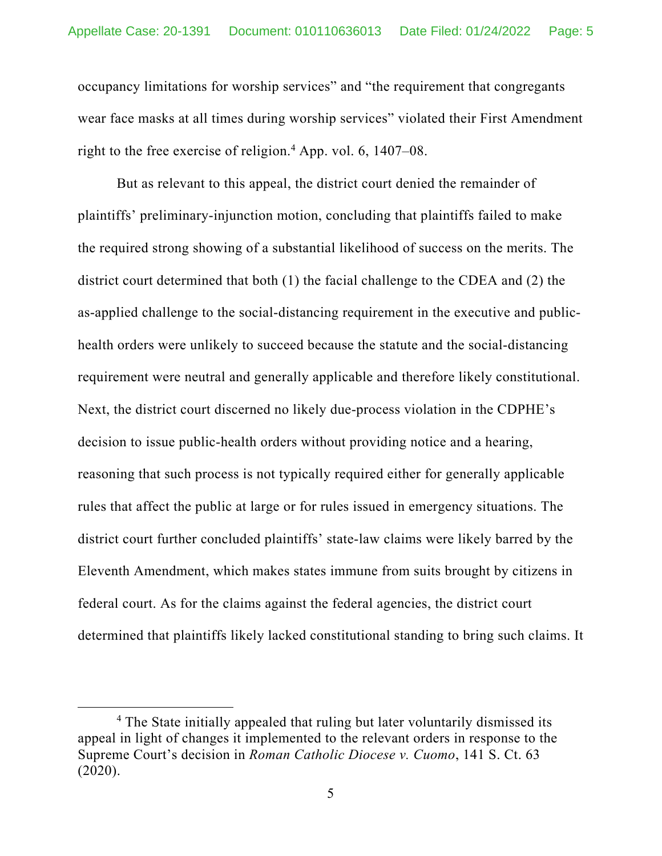occupancy limitations for worship services" and "the requirement that congregants wear face masks at all times during worship services" violated their First Amendment right to the free exercise of religion.<sup>4</sup> App. vol. 6, 1407–08.

But as relevant to this appeal, the district court denied the remainder of plaintiffs' preliminary-injunction motion, concluding that plaintiffs failed to make the required strong showing of a substantial likelihood of success on the merits. The district court determined that both (1) the facial challenge to the CDEA and (2) the as-applied challenge to the social-distancing requirement in the executive and publichealth orders were unlikely to succeed because the statute and the social-distancing requirement were neutral and generally applicable and therefore likely constitutional. Next, the district court discerned no likely due-process violation in the CDPHE's decision to issue public-health orders without providing notice and a hearing, reasoning that such process is not typically required either for generally applicable rules that affect the public at large or for rules issued in emergency situations. The district court further concluded plaintiffs' state-law claims were likely barred by the Eleventh Amendment, which makes states immune from suits brought by citizens in federal court. As for the claims against the federal agencies, the district court determined that plaintiffs likely lacked constitutional standing to bring such claims. It

<sup>&</sup>lt;sup>4</sup> The State initially appealed that ruling but later voluntarily dismissed its appeal in light of changes it implemented to the relevant orders in response to the Supreme Court's decision in *Roman Catholic Diocese v. Cuomo*, 141 S. Ct. 63 (2020).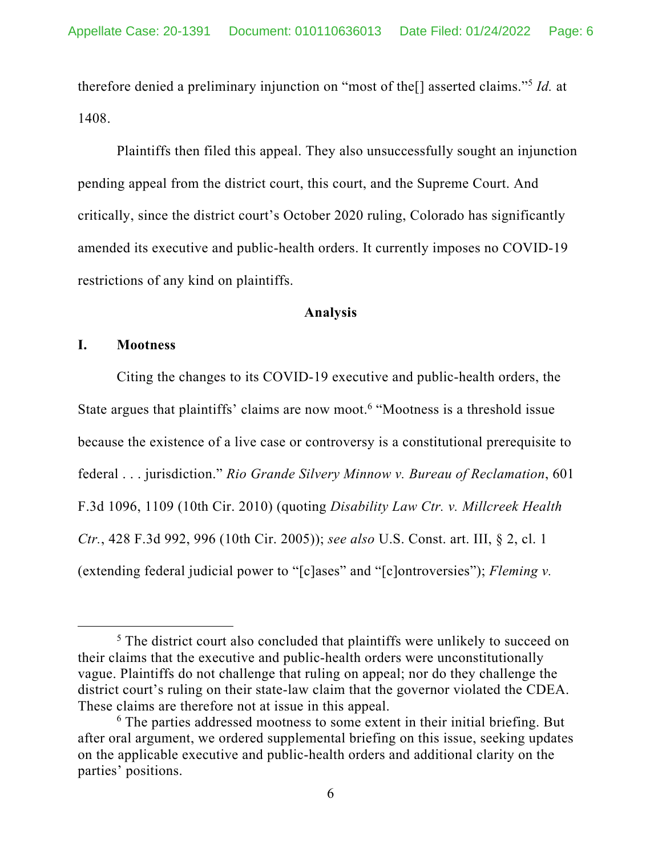therefore denied a preliminary injunction on "most of the[] asserted claims."5 *Id.* at 1408.

Plaintiffs then filed this appeal. They also unsuccessfully sought an injunction pending appeal from the district court, this court, and the Supreme Court. And critically, since the district court's October 2020 ruling, Colorado has significantly amended its executive and public-health orders. It currently imposes no COVID-19 restrictions of any kind on plaintiffs.

## **Analysis**

## **I. Mootness**

Citing the changes to its COVID-19 executive and public-health orders, the State argues that plaintiffs' claims are now moot.<sup>6</sup> "Mootness is a threshold issue because the existence of a live case or controversy is a constitutional prerequisite to federal . . . jurisdiction." *Rio Grande Silvery Minnow v. Bureau of Reclamation*, 601 F.3d 1096, 1109 (10th Cir. 2010) (quoting *Disability Law Ctr. v. Millcreek Health Ctr.*, 428 F.3d 992, 996 (10th Cir. 2005)); *see also* U.S. Const. art. III, § 2, cl. 1 (extending federal judicial power to "[c]ases" and "[c]ontroversies"); *Fleming v.* 

<sup>&</sup>lt;sup>5</sup> The district court also concluded that plaintiffs were unlikely to succeed on their claims that the executive and public-health orders were unconstitutionally vague. Plaintiffs do not challenge that ruling on appeal; nor do they challenge the district court's ruling on their state-law claim that the governor violated the CDEA. These claims are therefore not at issue in this appeal.

<sup>&</sup>lt;sup>6</sup> The parties addressed mootness to some extent in their initial briefing. But after oral argument, we ordered supplemental briefing on this issue, seeking updates on the applicable executive and public-health orders and additional clarity on the parties' positions.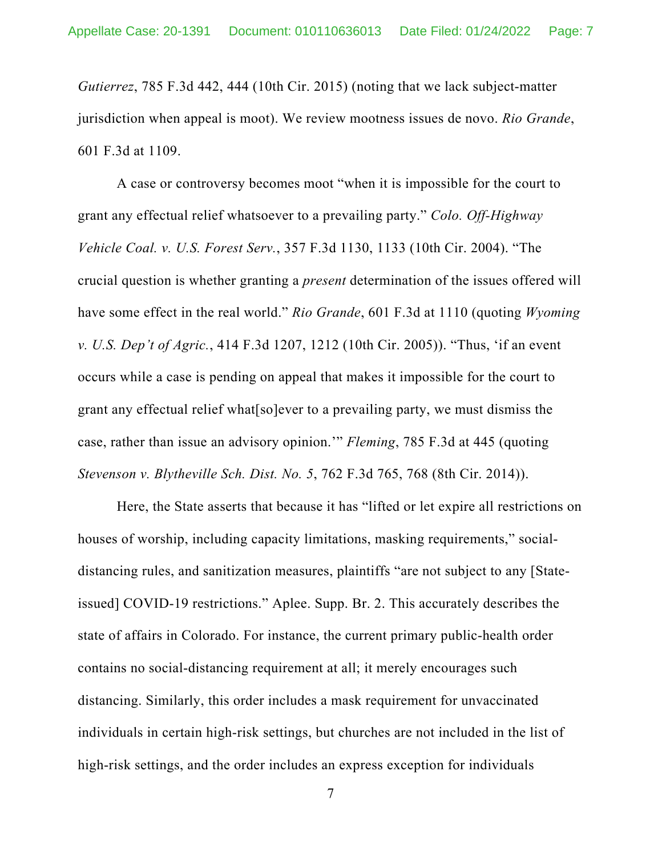*Gutierrez*, 785 F.3d 442, 444 (10th Cir. 2015) (noting that we lack subject-matter jurisdiction when appeal is moot). We review mootness issues de novo. *Rio Grande*, 601 F.3d at 1109.

A case or controversy becomes moot "when it is impossible for the court to grant any effectual relief whatsoever to a prevailing party." *Colo. Off-Highway Vehicle Coal. v. U.S. Forest Serv.*, 357 F.3d 1130, 1133 (10th Cir. 2004). "The crucial question is whether granting a *present* determination of the issues offered will have some effect in the real world." *Rio Grande*, 601 F.3d at 1110 (quoting *Wyoming v. U.S. Dep't of Agric.*, 414 F.3d 1207, 1212 (10th Cir. 2005)). "Thus, 'if an event occurs while a case is pending on appeal that makes it impossible for the court to grant any effectual relief what[so]ever to a prevailing party, we must dismiss the case, rather than issue an advisory opinion.'" *Fleming*, 785 F.3d at 445 (quoting *Stevenson v. Blytheville Sch. Dist. No. 5*, 762 F.3d 765, 768 (8th Cir. 2014)).

Here, the State asserts that because it has "lifted or let expire all restrictions on houses of worship, including capacity limitations, masking requirements," socialdistancing rules, and sanitization measures, plaintiffs "are not subject to any [Stateissued] COVID-19 restrictions." Aplee. Supp. Br. 2. This accurately describes the state of affairs in Colorado. For instance, the current primary public-health order contains no social-distancing requirement at all; it merely encourages such distancing. Similarly, this order includes a mask requirement for unvaccinated individuals in certain high-risk settings, but churches are not included in the list of high-risk settings, and the order includes an express exception for individuals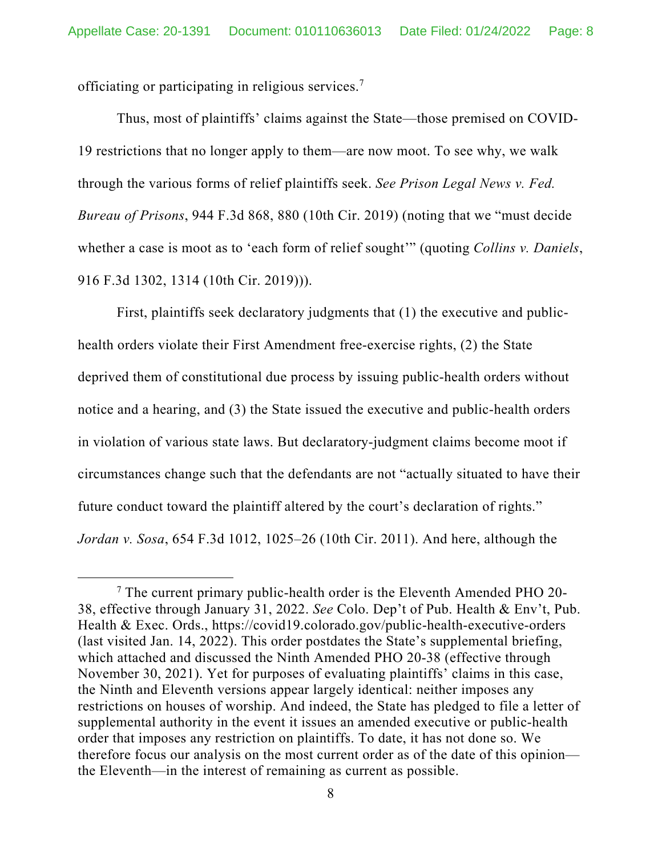officiating or participating in religious services.7

Thus, most of plaintiffs' claims against the State—those premised on COVID-19 restrictions that no longer apply to them—are now moot. To see why, we walk through the various forms of relief plaintiffs seek. *See Prison Legal News v. Fed. Bureau of Prisons*, 944 F.3d 868, 880 (10th Cir. 2019) (noting that we "must decide whether a case is moot as to 'each form of relief sought'" (quoting *Collins v. Daniels*, 916 F.3d 1302, 1314 (10th Cir. 2019))).

First, plaintiffs seek declaratory judgments that (1) the executive and publichealth orders violate their First Amendment free-exercise rights, (2) the State deprived them of constitutional due process by issuing public-health orders without notice and a hearing, and (3) the State issued the executive and public-health orders in violation of various state laws. But declaratory-judgment claims become moot if circumstances change such that the defendants are not "actually situated to have their future conduct toward the plaintiff altered by the court's declaration of rights." *Jordan v. Sosa*, 654 F.3d 1012, 1025–26 (10th Cir. 2011). And here, although the

 $7$  The current primary public-health order is the Eleventh Amended PHO 20-38, effective through January 31, 2022. *See* Colo. Dep't of Pub. Health & Env't, Pub. Health & Exec. Ords., https://covid19.colorado.gov/public-health-executive-orders (last visited Jan. 14, 2022). This order postdates the State's supplemental briefing, which attached and discussed the Ninth Amended PHO 20-38 (effective through November 30, 2021). Yet for purposes of evaluating plaintiffs' claims in this case, the Ninth and Eleventh versions appear largely identical: neither imposes any restrictions on houses of worship. And indeed, the State has pledged to file a letter of supplemental authority in the event it issues an amended executive or public-health order that imposes any restriction on plaintiffs. To date, it has not done so. We therefore focus our analysis on the most current order as of the date of this opinion the Eleventh—in the interest of remaining as current as possible.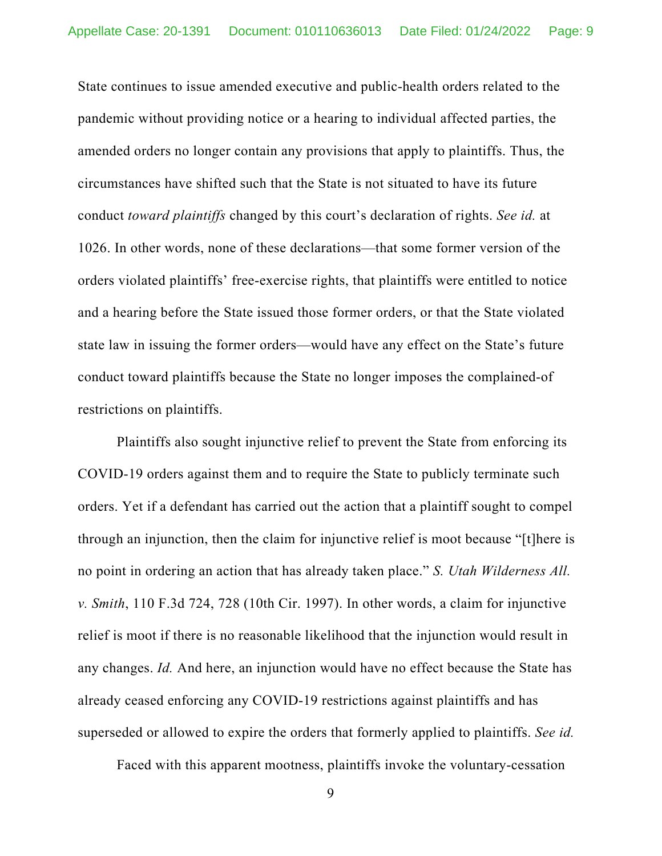State continues to issue amended executive and public-health orders related to the pandemic without providing notice or a hearing to individual affected parties, the amended orders no longer contain any provisions that apply to plaintiffs. Thus, the circumstances have shifted such that the State is not situated to have its future conduct *toward plaintiffs* changed by this court's declaration of rights. *See id.* at 1026. In other words, none of these declarations—that some former version of the orders violated plaintiffs' free-exercise rights, that plaintiffs were entitled to notice and a hearing before the State issued those former orders, or that the State violated state law in issuing the former orders—would have any effect on the State's future conduct toward plaintiffs because the State no longer imposes the complained-of restrictions on plaintiffs.

Plaintiffs also sought injunctive relief to prevent the State from enforcing its COVID-19 orders against them and to require the State to publicly terminate such orders. Yet if a defendant has carried out the action that a plaintiff sought to compel through an injunction, then the claim for injunctive relief is moot because "[t]here is no point in ordering an action that has already taken place." *S. Utah Wilderness All. v. Smith*, 110 F.3d 724, 728 (10th Cir. 1997). In other words, a claim for injunctive relief is moot if there is no reasonable likelihood that the injunction would result in any changes. *Id.* And here, an injunction would have no effect because the State has already ceased enforcing any COVID-19 restrictions against plaintiffs and has superseded or allowed to expire the orders that formerly applied to plaintiffs. *See id.*

Faced with this apparent mootness, plaintiffs invoke the voluntary-cessation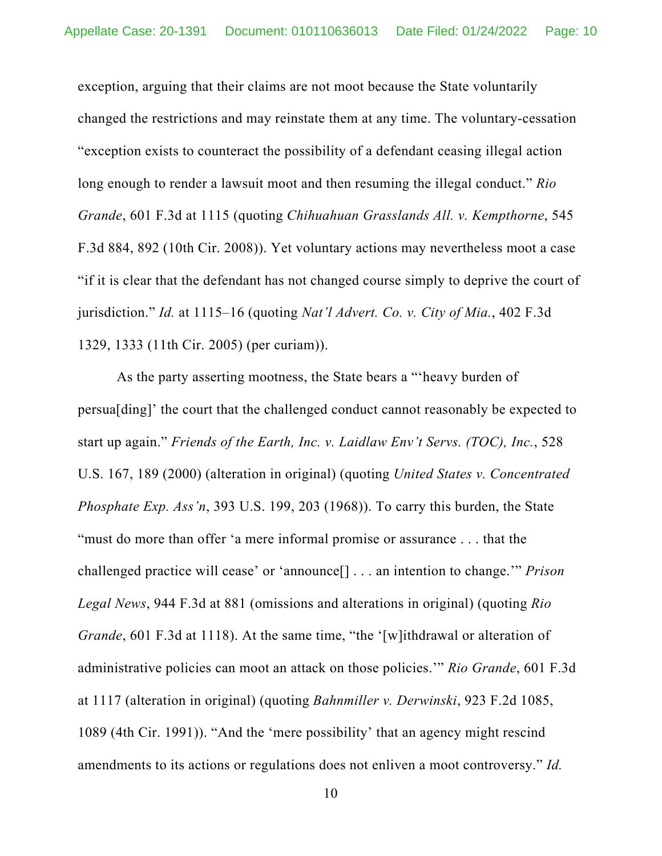exception, arguing that their claims are not moot because the State voluntarily changed the restrictions and may reinstate them at any time. The voluntary-cessation "exception exists to counteract the possibility of a defendant ceasing illegal action long enough to render a lawsuit moot and then resuming the illegal conduct." *Rio Grande*, 601 F.3d at 1115 (quoting *Chihuahuan Grasslands All. v. Kempthorne*, 545 F.3d 884, 892 (10th Cir. 2008)). Yet voluntary actions may nevertheless moot a case "if it is clear that the defendant has not changed course simply to deprive the court of jurisdiction." *Id.* at 1115–16 (quoting *Nat'l Advert. Co. v. City of Mia.*, 402 F.3d 1329, 1333 (11th Cir. 2005) (per curiam)).

As the party asserting mootness, the State bears a "'heavy burden of persua[ding]' the court that the challenged conduct cannot reasonably be expected to start up again." *Friends of the Earth, Inc. v. Laidlaw Env't Servs. (TOC), Inc.*, 528 U.S. 167, 189 (2000) (alteration in original) (quoting *United States v. Concentrated Phosphate Exp. Ass'n*, 393 U.S. 199, 203 (1968)). To carry this burden, the State "must do more than offer 'a mere informal promise or assurance . . . that the challenged practice will cease' or 'announce[] . . . an intention to change.'" *Prison Legal News*, 944 F.3d at 881 (omissions and alterations in original) (quoting *Rio Grande*, 601 F.3d at 1118). At the same time, "the '[w]ithdrawal or alteration of administrative policies can moot an attack on those policies.'" *Rio Grande*, 601 F.3d at 1117 (alteration in original) (quoting *Bahnmiller v. Derwinski*, 923 F.2d 1085, 1089 (4th Cir. 1991)). "And the 'mere possibility' that an agency might rescind amendments to its actions or regulations does not enliven a moot controversy." *Id.*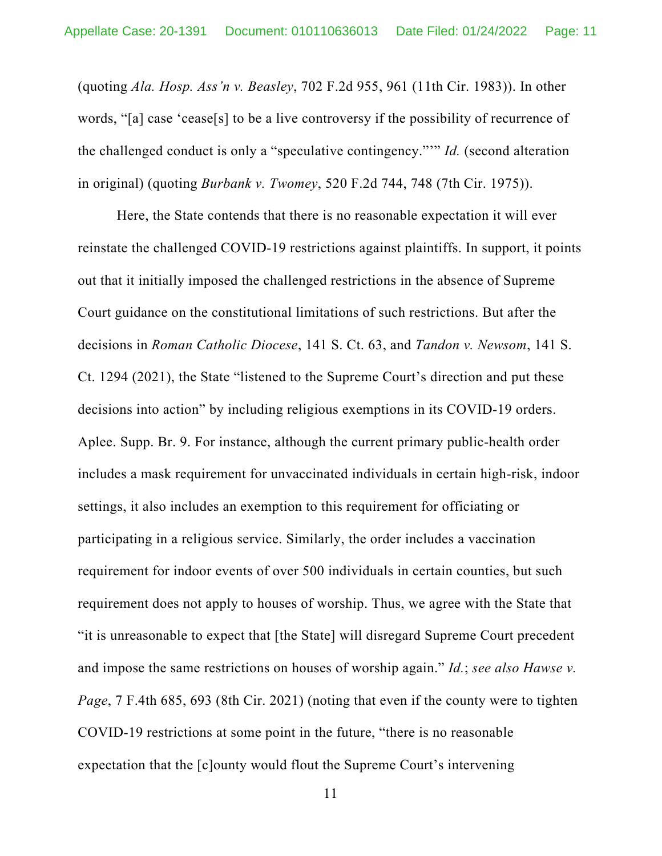(quoting *Ala. Hosp. Ass'n v. Beasley*, 702 F.2d 955, 961 (11th Cir. 1983)). In other words, "[a] case 'cease[s] to be a live controversy if the possibility of recurrence of the challenged conduct is only a "speculative contingency."'" *Id.* (second alteration in original) (quoting *Burbank v. Twomey*, 520 F.2d 744, 748 (7th Cir. 1975)).

Here, the State contends that there is no reasonable expectation it will ever reinstate the challenged COVID-19 restrictions against plaintiffs. In support, it points out that it initially imposed the challenged restrictions in the absence of Supreme Court guidance on the constitutional limitations of such restrictions. But after the decisions in *Roman Catholic Diocese*, 141 S. Ct. 63, and *Tandon v. Newsom*, 141 S. Ct. 1294 (2021), the State "listened to the Supreme Court's direction and put these decisions into action" by including religious exemptions in its COVID-19 orders. Aplee. Supp. Br. 9. For instance, although the current primary public-health order includes a mask requirement for unvaccinated individuals in certain high-risk, indoor settings, it also includes an exemption to this requirement for officiating or participating in a religious service. Similarly, the order includes a vaccination requirement for indoor events of over 500 individuals in certain counties, but such requirement does not apply to houses of worship. Thus, we agree with the State that "it is unreasonable to expect that [the State] will disregard Supreme Court precedent and impose the same restrictions on houses of worship again." *Id.*; *see also Hawse v. Page*, 7 F.4th 685, 693 (8th Cir. 2021) (noting that even if the county were to tighten COVID-19 restrictions at some point in the future, "there is no reasonable expectation that the [c]ounty would flout the Supreme Court's intervening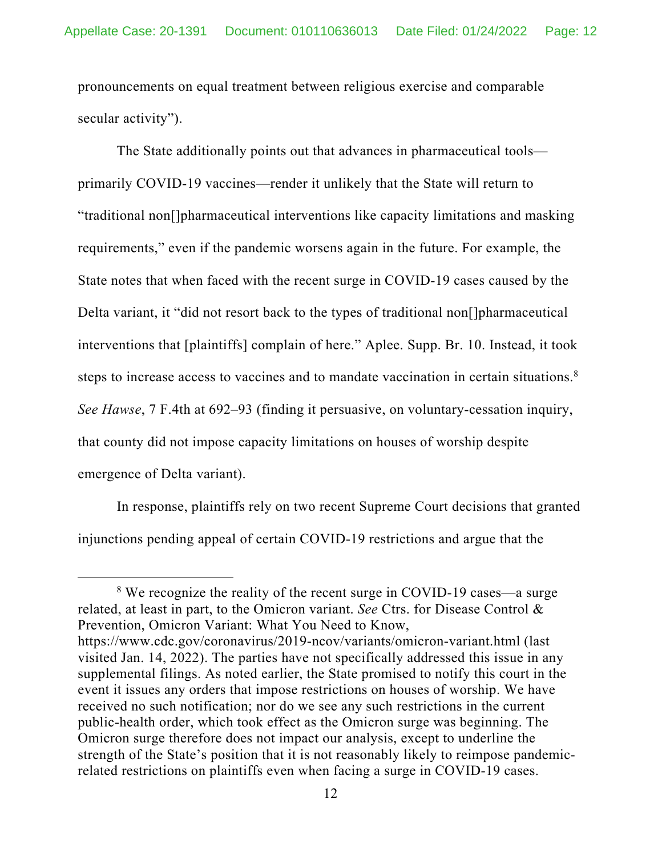pronouncements on equal treatment between religious exercise and comparable secular activity").

The State additionally points out that advances in pharmaceutical tools primarily COVID-19 vaccines—render it unlikely that the State will return to "traditional non[]pharmaceutical interventions like capacity limitations and masking requirements," even if the pandemic worsens again in the future. For example, the State notes that when faced with the recent surge in COVID-19 cases caused by the Delta variant, it "did not resort back to the types of traditional non[]pharmaceutical interventions that [plaintiffs] complain of here." Aplee. Supp. Br. 10. Instead, it took steps to increase access to vaccines and to mandate vaccination in certain situations.<sup>8</sup> *See Hawse*, 7 F.4th at 692–93 (finding it persuasive, on voluntary-cessation inquiry, that county did not impose capacity limitations on houses of worship despite emergence of Delta variant).

In response, plaintiffs rely on two recent Supreme Court decisions that granted injunctions pending appeal of certain COVID-19 restrictions and argue that the

<sup>&</sup>lt;sup>8</sup> We recognize the reality of the recent surge in COVID-19 cases—a surge related, at least in part, to the Omicron variant. *See* Ctrs. for Disease Control & Prevention, Omicron Variant: What You Need to Know, https://www.cdc.gov/coronavirus/2019-ncov/variants/omicron-variant.html (last visited Jan. 14, 2022). The parties have not specifically addressed this issue in any supplemental filings. As noted earlier, the State promised to notify this court in the event it issues any orders that impose restrictions on houses of worship. We have received no such notification; nor do we see any such restrictions in the current public-health order, which took effect as the Omicron surge was beginning. The Omicron surge therefore does not impact our analysis, except to underline the strength of the State's position that it is not reasonably likely to reimpose pandemicrelated restrictions on plaintiffs even when facing a surge in COVID-19 cases.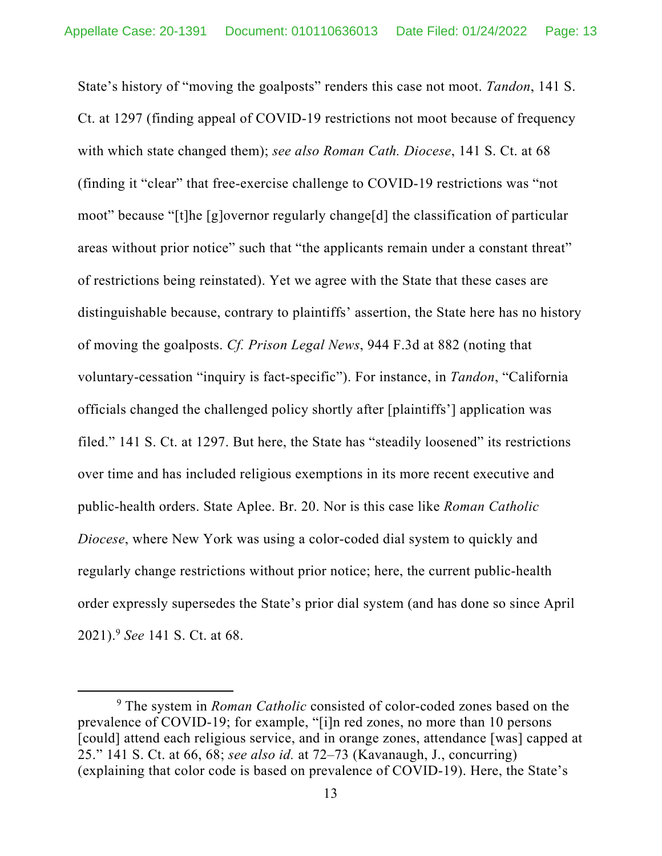State's history of "moving the goalposts" renders this case not moot. *Tandon*, 141 S. Ct. at 1297 (finding appeal of COVID-19 restrictions not moot because of frequency with which state changed them); *see also Roman Cath. Diocese*, 141 S. Ct. at 68 (finding it "clear" that free-exercise challenge to COVID-19 restrictions was "not moot" because "[t]he [g]overnor regularly change[d] the classification of particular areas without prior notice" such that "the applicants remain under a constant threat" of restrictions being reinstated). Yet we agree with the State that these cases are distinguishable because, contrary to plaintiffs' assertion, the State here has no history of moving the goalposts. *Cf. Prison Legal News*, 944 F.3d at 882 (noting that voluntary-cessation "inquiry is fact-specific"). For instance, in *Tandon*, "California officials changed the challenged policy shortly after [plaintiffs'] application was filed." 141 S. Ct. at 1297. But here, the State has "steadily loosened" its restrictions over time and has included religious exemptions in its more recent executive and public-health orders. State Aplee. Br. 20. Nor is this case like *Roman Catholic Diocese*, where New York was using a color-coded dial system to quickly and regularly change restrictions without prior notice; here, the current public-health order expressly supersedes the State's prior dial system (and has done so since April 2021).9 *See* 141 S. Ct. at 68.

<sup>&</sup>lt;sup>9</sup> The system in *Roman Catholic* consisted of color-coded zones based on the prevalence of COVID-19; for example, "[i]n red zones, no more than 10 persons [could] attend each religious service, and in orange zones, attendance [was] capped at 25." 141 S. Ct. at 66, 68; *see also id.* at 72–73 (Kavanaugh, J., concurring) (explaining that color code is based on prevalence of COVID-19). Here, the State's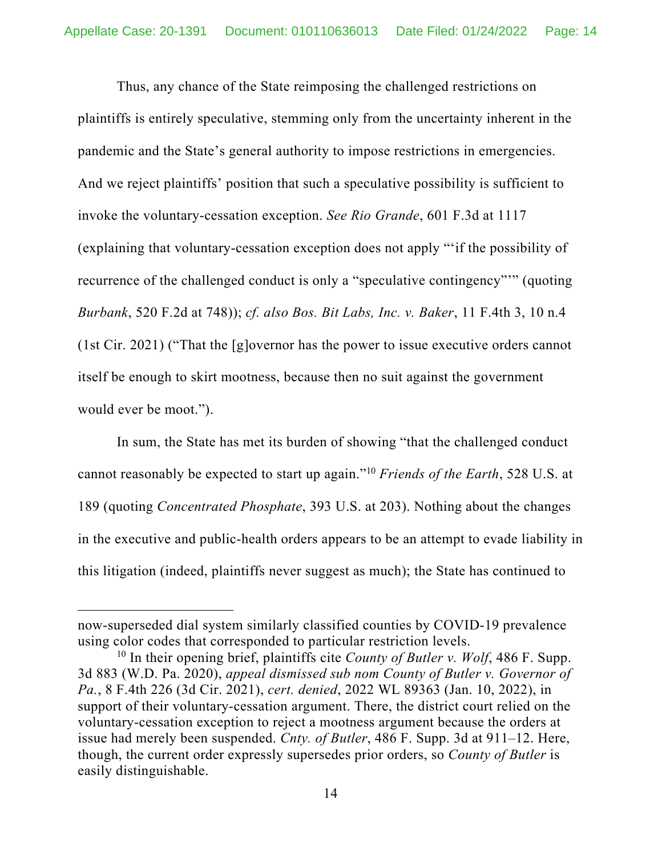Thus, any chance of the State reimposing the challenged restrictions on plaintiffs is entirely speculative, stemming only from the uncertainty inherent in the pandemic and the State's general authority to impose restrictions in emergencies. And we reject plaintiffs' position that such a speculative possibility is sufficient to invoke the voluntary-cessation exception. *See Rio Grande*, 601 F.3d at 1117 (explaining that voluntary-cessation exception does not apply "'if the possibility of recurrence of the challenged conduct is only a "speculative contingency"'" (quoting *Burbank*, 520 F.2d at 748)); *cf. also Bos. Bit Labs, Inc. v. Baker*, 11 F.4th 3, 10 n.4 (1st Cir. 2021) ("That the [g]overnor has the power to issue executive orders cannot itself be enough to skirt mootness, because then no suit against the government would ever be moot.").

In sum, the State has met its burden of showing "that the challenged conduct cannot reasonably be expected to start up again."10 *Friends of the Earth*, 528 U.S. at 189 (quoting *Concentrated Phosphate*, 393 U.S. at 203). Nothing about the changes in the executive and public-health orders appears to be an attempt to evade liability in this litigation (indeed, plaintiffs never suggest as much); the State has continued to

now-superseded dial system similarly classified counties by COVID-19 prevalence using color codes that corresponded to particular restriction levels.

<sup>10</sup> In their opening brief, plaintiffs cite *County of Butler v. Wolf*, 486 F. Supp. 3d 883 (W.D. Pa. 2020), *appeal dismissed sub nom County of Butler v. Governor of Pa.*, 8 F.4th 226 (3d Cir. 2021), *cert. denied*, 2022 WL 89363 (Jan. 10, 2022), in support of their voluntary-cessation argument. There, the district court relied on the voluntary-cessation exception to reject a mootness argument because the orders at issue had merely been suspended. *Cnty. of Butler*, 486 F. Supp. 3d at 911–12. Here, though, the current order expressly supersedes prior orders, so *County of Butler* is easily distinguishable.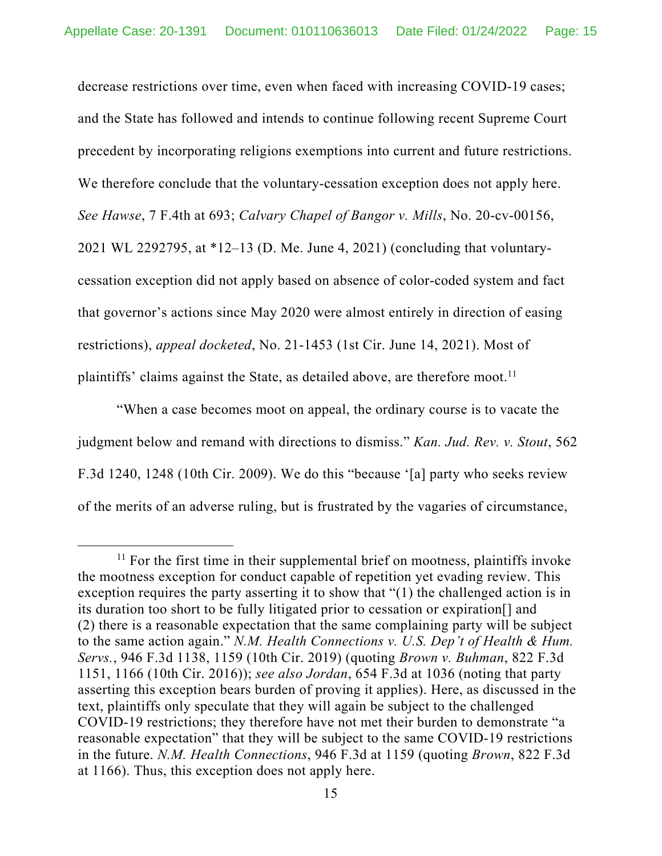decrease restrictions over time, even when faced with increasing COVID-19 cases; and the State has followed and intends to continue following recent Supreme Court precedent by incorporating religions exemptions into current and future restrictions. We therefore conclude that the voluntary-cessation exception does not apply here. *See Hawse*, 7 F.4th at 693; *Calvary Chapel of Bangor v. Mills*, No. 20-cv-00156, 2021 WL 2292795, at \*12–13 (D. Me. June 4, 2021) (concluding that voluntarycessation exception did not apply based on absence of color-coded system and fact that governor's actions since May 2020 were almost entirely in direction of easing restrictions), *appeal docketed*, No. 21-1453 (1st Cir. June 14, 2021). Most of plaintiffs' claims against the State, as detailed above, are therefore moot.<sup>11</sup>

"When a case becomes moot on appeal, the ordinary course is to vacate the judgment below and remand with directions to dismiss." *Kan. Jud. Rev. v. Stout*, 562 F.3d 1240, 1248 (10th Cir. 2009). We do this "because '[a] party who seeks review of the merits of an adverse ruling, but is frustrated by the vagaries of circumstance,

 $11$  For the first time in their supplemental brief on mootness, plaintiffs invoke the mootness exception for conduct capable of repetition yet evading review. This exception requires the party asserting it to show that "(1) the challenged action is in its duration too short to be fully litigated prior to cessation or expiration[] and (2) there is a reasonable expectation that the same complaining party will be subject to the same action again." *N.M. Health Connections v. U.S. Dep't of Health & Hum. Servs.*, 946 F.3d 1138, 1159 (10th Cir. 2019) (quoting *Brown v. Buhman*, 822 F.3d 1151, 1166 (10th Cir. 2016)); *see also Jordan*, 654 F.3d at 1036 (noting that party asserting this exception bears burden of proving it applies). Here, as discussed in the text, plaintiffs only speculate that they will again be subject to the challenged COVID-19 restrictions; they therefore have not met their burden to demonstrate "a reasonable expectation" that they will be subject to the same COVID-19 restrictions in the future. *N.M. Health Connections*, 946 F.3d at 1159 (quoting *Brown*, 822 F.3d at 1166). Thus, this exception does not apply here.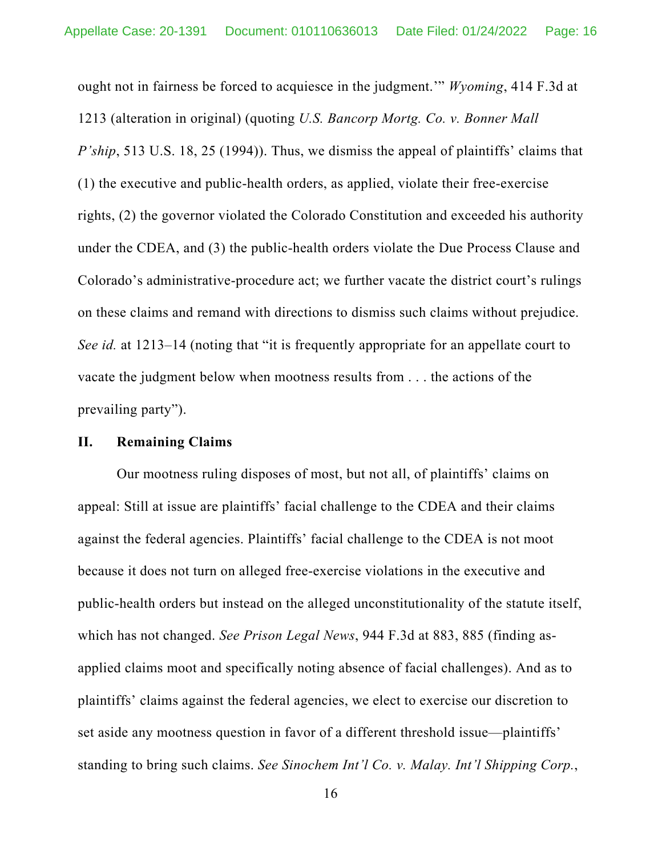ought not in fairness be forced to acquiesce in the judgment.'" *Wyoming*, 414 F.3d at 1213 (alteration in original) (quoting *U.S. Bancorp Mortg. Co. v. Bonner Mall P'ship*, 513 U.S. 18, 25 (1994)). Thus, we dismiss the appeal of plaintiffs' claims that (1) the executive and public-health orders, as applied, violate their free-exercise rights, (2) the governor violated the Colorado Constitution and exceeded his authority under the CDEA, and (3) the public-health orders violate the Due Process Clause and Colorado's administrative-procedure act; we further vacate the district court's rulings on these claims and remand with directions to dismiss such claims without prejudice. *See id.* at 1213–14 (noting that "it is frequently appropriate for an appellate court to vacate the judgment below when mootness results from . . . the actions of the prevailing party").

# **II. Remaining Claims**

Our mootness ruling disposes of most, but not all, of plaintiffs' claims on appeal: Still at issue are plaintiffs' facial challenge to the CDEA and their claims against the federal agencies. Plaintiffs' facial challenge to the CDEA is not moot because it does not turn on alleged free-exercise violations in the executive and public-health orders but instead on the alleged unconstitutionality of the statute itself, which has not changed. *See Prison Legal News*, 944 F.3d at 883, 885 (finding asapplied claims moot and specifically noting absence of facial challenges). And as to plaintiffs' claims against the federal agencies, we elect to exercise our discretion to set aside any mootness question in favor of a different threshold issue—plaintiffs' standing to bring such claims. *See Sinochem Int'l Co. v. Malay. Int'l Shipping Corp.*,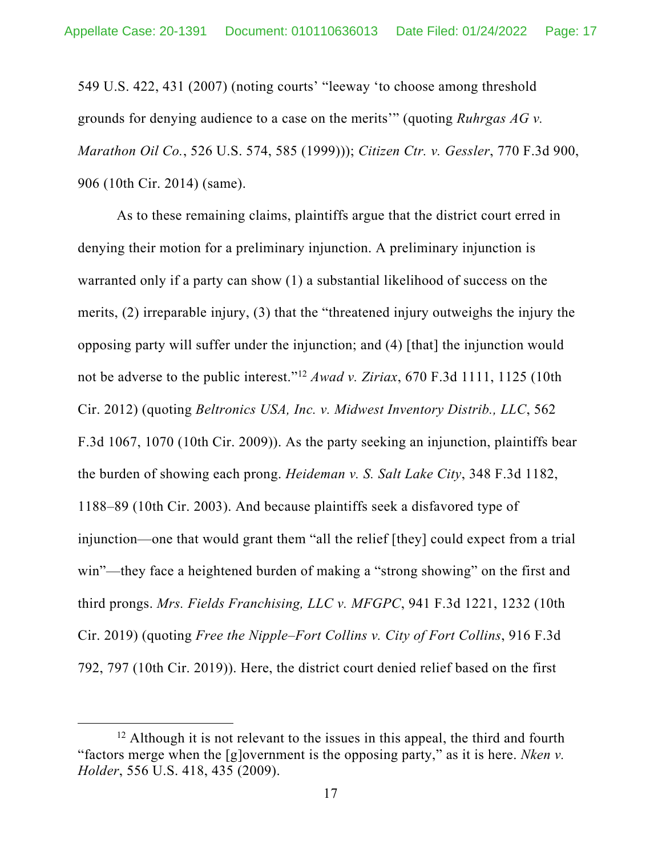549 U.S. 422, 431 (2007) (noting courts' "leeway 'to choose among threshold grounds for denying audience to a case on the merits'" (quoting *Ruhrgas AG v. Marathon Oil Co.*, 526 U.S. 574, 585 (1999))); *Citizen Ctr. v. Gessler*, 770 F.3d 900, 906 (10th Cir. 2014) (same).

As to these remaining claims, plaintiffs argue that the district court erred in denying their motion for a preliminary injunction. A preliminary injunction is warranted only if a party can show (1) a substantial likelihood of success on the merits, (2) irreparable injury, (3) that the "threatened injury outweighs the injury the opposing party will suffer under the injunction; and (4) [that] the injunction would not be adverse to the public interest."12 *Awad v. Ziriax*, 670 F.3d 1111, 1125 (10th Cir. 2012) (quoting *Beltronics USA, Inc. v. Midwest Inventory Distrib., LLC*, 562 F.3d 1067, 1070 (10th Cir. 2009)). As the party seeking an injunction, plaintiffs bear the burden of showing each prong. *Heideman v. S. Salt Lake City*, 348 F.3d 1182, 1188–89 (10th Cir. 2003). And because plaintiffs seek a disfavored type of injunction—one that would grant them "all the relief [they] could expect from a trial win"—they face a heightened burden of making a "strong showing" on the first and third prongs. *Mrs. Fields Franchising, LLC v. MFGPC*, 941 F.3d 1221, 1232 (10th Cir. 2019) (quoting *Free the Nipple–Fort Collins v. City of Fort Collins*, 916 F.3d 792, 797 (10th Cir. 2019)). Here, the district court denied relief based on the first

 $12$  Although it is not relevant to the issues in this appeal, the third and fourth "factors merge when the [g]overnment is the opposing party," as it is here. *Nken v. Holder*, 556 U.S. 418, 435 (2009).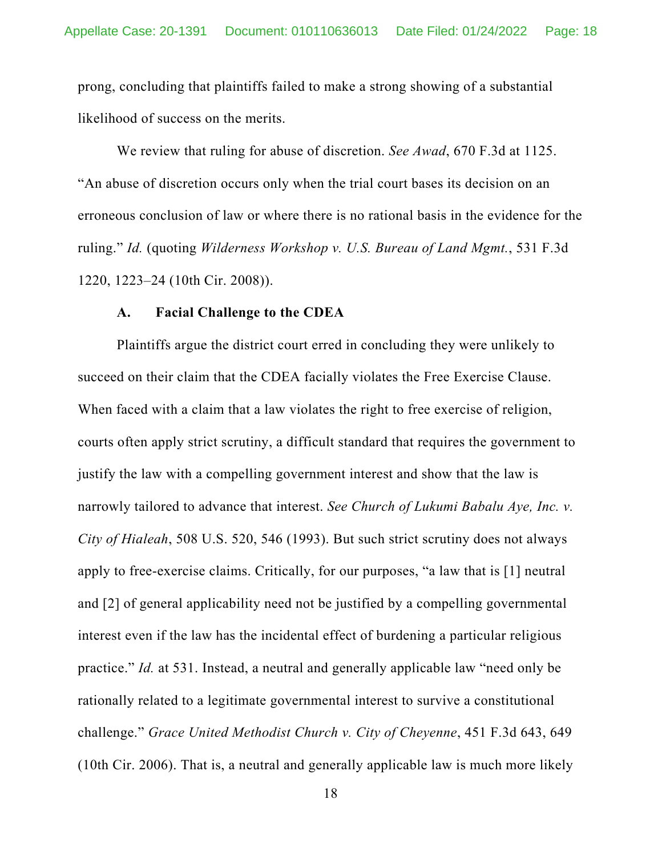prong, concluding that plaintiffs failed to make a strong showing of a substantial likelihood of success on the merits.

We review that ruling for abuse of discretion. *See Awad*, 670 F.3d at 1125. "An abuse of discretion occurs only when the trial court bases its decision on an erroneous conclusion of law or where there is no rational basis in the evidence for the ruling." *Id.* (quoting *Wilderness Workshop v. U.S. Bureau of Land Mgmt.*, 531 F.3d 1220, 1223–24 (10th Cir. 2008)).

## **A. Facial Challenge to the CDEA**

Plaintiffs argue the district court erred in concluding they were unlikely to succeed on their claim that the CDEA facially violates the Free Exercise Clause. When faced with a claim that a law violates the right to free exercise of religion, courts often apply strict scrutiny, a difficult standard that requires the government to justify the law with a compelling government interest and show that the law is narrowly tailored to advance that interest. *See Church of Lukumi Babalu Aye, Inc. v. City of Hialeah*, 508 U.S. 520, 546 (1993). But such strict scrutiny does not always apply to free-exercise claims. Critically, for our purposes, "a law that is [1] neutral and [2] of general applicability need not be justified by a compelling governmental interest even if the law has the incidental effect of burdening a particular religious practice." *Id.* at 531. Instead, a neutral and generally applicable law "need only be rationally related to a legitimate governmental interest to survive a constitutional challenge." *Grace United Methodist Church v. City of Cheyenne*, 451 F.3d 643, 649 (10th Cir. 2006). That is, a neutral and generally applicable law is much more likely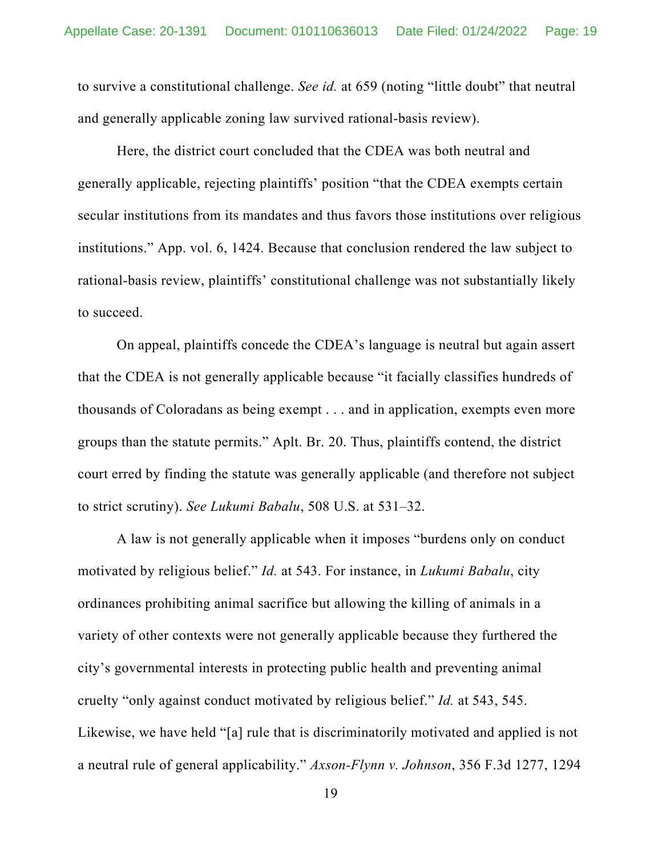to survive a constitutional challenge. *See id.* at 659 (noting "little doubt" that neutral and generally applicable zoning law survived rational-basis review).

Here, the district court concluded that the CDEA was both neutral and generally applicable, rejecting plaintiffs' position "that the CDEA exempts certain secular institutions from its mandates and thus favors those institutions over religious institutions." App. vol. 6, 1424. Because that conclusion rendered the law subject to rational-basis review, plaintiffs' constitutional challenge was not substantially likely to succeed.

On appeal, plaintiffs concede the CDEA's language is neutral but again assert that the CDEA is not generally applicable because "it facially classifies hundreds of thousands of Coloradans as being exempt . . . and in application, exempts even more groups than the statute permits." Aplt. Br. 20. Thus, plaintiffs contend, the district court erred by finding the statute was generally applicable (and therefore not subject to strict scrutiny). *See Lukumi Babalu*, 508 U.S. at 531–32.

A law is not generally applicable when it imposes "burdens only on conduct motivated by religious belief." *Id.* at 543. For instance, in *Lukumi Babalu*, city ordinances prohibiting animal sacrifice but allowing the killing of animals in a variety of other contexts were not generally applicable because they furthered the city's governmental interests in protecting public health and preventing animal cruelty "only against conduct motivated by religious belief." *Id.* at 543, 545. Likewise, we have held "[a] rule that is discriminatorily motivated and applied is not a neutral rule of general applicability." *Axson-Flynn v. Johnson*, 356 F.3d 1277, 1294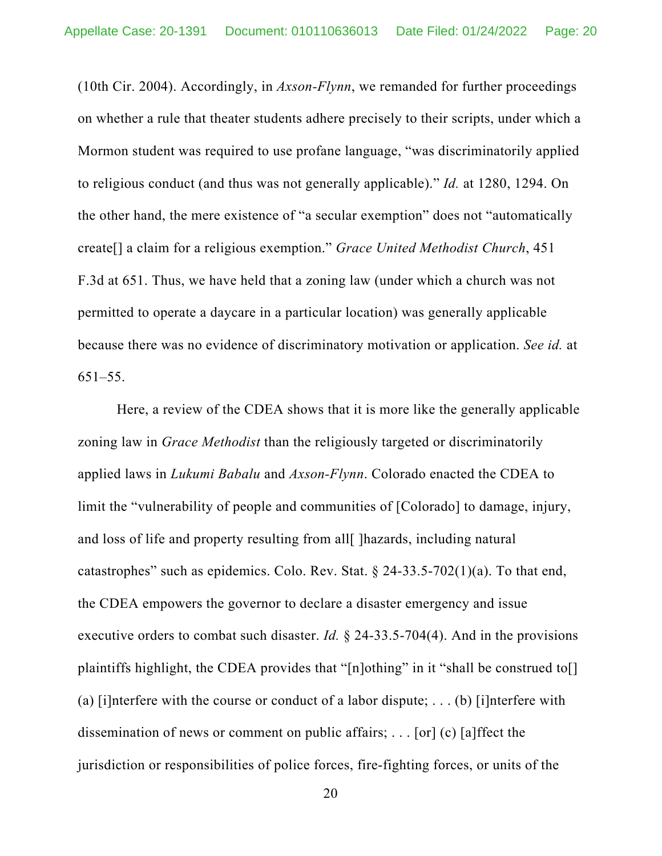(10th Cir. 2004). Accordingly, in *Axson-Flynn*, we remanded for further proceedings on whether a rule that theater students adhere precisely to their scripts, under which a Mormon student was required to use profane language, "was discriminatorily applied to religious conduct (and thus was not generally applicable)." *Id.* at 1280, 1294. On the other hand, the mere existence of "a secular exemption" does not "automatically create[] a claim for a religious exemption." *Grace United Methodist Church*, 451 F.3d at 651. Thus, we have held that a zoning law (under which a church was not permitted to operate a daycare in a particular location) was generally applicable because there was no evidence of discriminatory motivation or application. *See id.* at 651–55.

Here, a review of the CDEA shows that it is more like the generally applicable zoning law in *Grace Methodist* than the religiously targeted or discriminatorily applied laws in *Lukumi Babalu* and *Axson-Flynn*. Colorado enacted the CDEA to limit the "vulnerability of people and communities of [Colorado] to damage, injury, and loss of life and property resulting from all [ ] hazards, including natural catastrophes" such as epidemics. Colo. Rev. Stat.  $\S$  24-33.5-702(1)(a). To that end, the CDEA empowers the governor to declare a disaster emergency and issue executive orders to combat such disaster. *Id.* § 24-33.5-704(4). And in the provisions plaintiffs highlight, the CDEA provides that "[n]othing" in it "shall be construed to[] (a) [i]nterfere with the course or conduct of a labor dispute; ... (b) [i]nterfere with dissemination of news or comment on public affairs; . . . [or] (c) [a]ffect the jurisdiction or responsibilities of police forces, fire-fighting forces, or units of the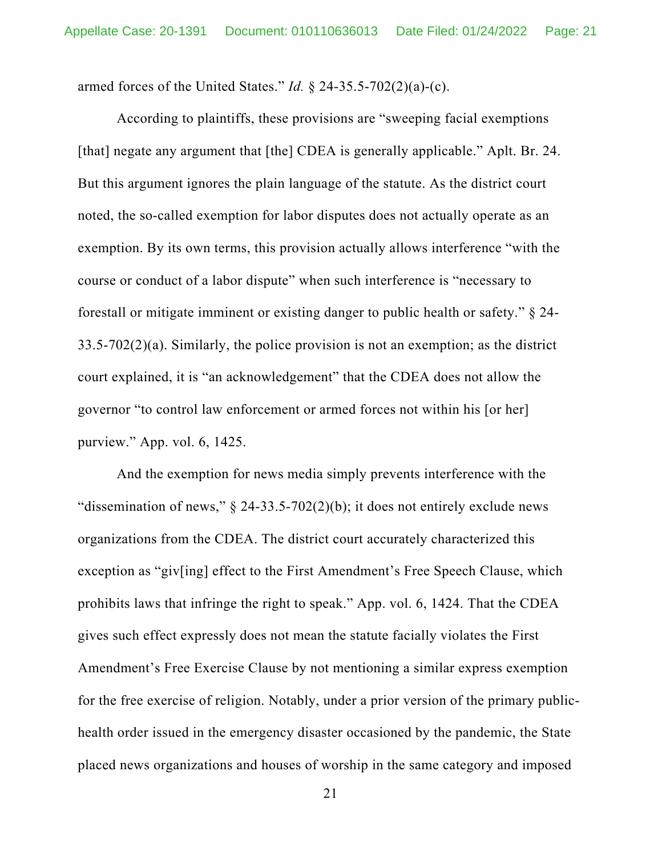armed forces of the United States." *Id.* § 24-35.5-702(2)(a)-(c).

According to plaintiffs, these provisions are "sweeping facial exemptions [that] negate any argument that [the] CDEA is generally applicable." Aplt. Br. 24. But this argument ignores the plain language of the statute. As the district court noted, the so-called exemption for labor disputes does not actually operate as an exemption. By its own terms, this provision actually allows interference "with the course or conduct of a labor dispute" when such interference is "necessary to forestall or mitigate imminent or existing danger to public health or safety." § 24- 33.5-702(2)(a). Similarly, the police provision is not an exemption; as the district court explained, it is "an acknowledgement" that the CDEA does not allow the governor "to control law enforcement or armed forces not within his [or her] purview." App. vol. 6, 1425.

And the exemption for news media simply prevents interference with the "dissemination of news,"  $\S$  24-33.5-702(2)(b); it does not entirely exclude news organizations from the CDEA. The district court accurately characterized this exception as "giv[ing] effect to the First Amendment's Free Speech Clause, which prohibits laws that infringe the right to speak." App. vol. 6, 1424. That the CDEA gives such effect expressly does not mean the statute facially violates the First Amendment's Free Exercise Clause by not mentioning a similar express exemption for the free exercise of religion. Notably, under a prior version of the primary publichealth order issued in the emergency disaster occasioned by the pandemic, the State placed news organizations and houses of worship in the same category and imposed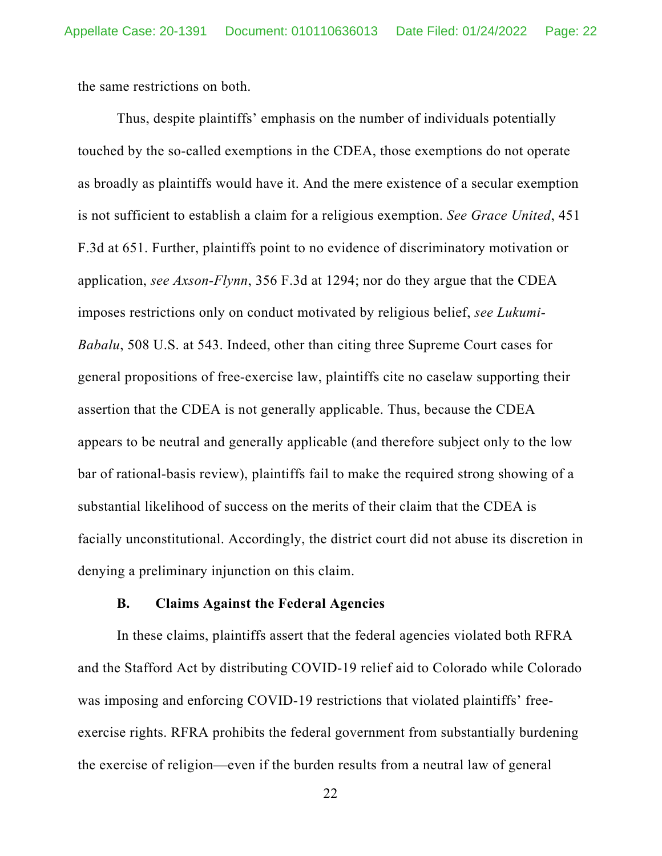the same restrictions on both.

Thus, despite plaintiffs' emphasis on the number of individuals potentially touched by the so-called exemptions in the CDEA, those exemptions do not operate as broadly as plaintiffs would have it. And the mere existence of a secular exemption is not sufficient to establish a claim for a religious exemption. *See Grace United*, 451 F.3d at 651. Further, plaintiffs point to no evidence of discriminatory motivation or application, *see Axson-Flynn*, 356 F.3d at 1294; nor do they argue that the CDEA imposes restrictions only on conduct motivated by religious belief, *see Lukumi-Babalu*, 508 U.S. at 543. Indeed, other than citing three Supreme Court cases for general propositions of free-exercise law, plaintiffs cite no caselaw supporting their assertion that the CDEA is not generally applicable. Thus, because the CDEA appears to be neutral and generally applicable (and therefore subject only to the low bar of rational-basis review), plaintiffs fail to make the required strong showing of a substantial likelihood of success on the merits of their claim that the CDEA is facially unconstitutional. Accordingly, the district court did not abuse its discretion in denying a preliminary injunction on this claim.

## **B. Claims Against the Federal Agencies**

In these claims, plaintiffs assert that the federal agencies violated both RFRA and the Stafford Act by distributing COVID-19 relief aid to Colorado while Colorado was imposing and enforcing COVID-19 restrictions that violated plaintiffs' freeexercise rights. RFRA prohibits the federal government from substantially burdening the exercise of religion—even if the burden results from a neutral law of general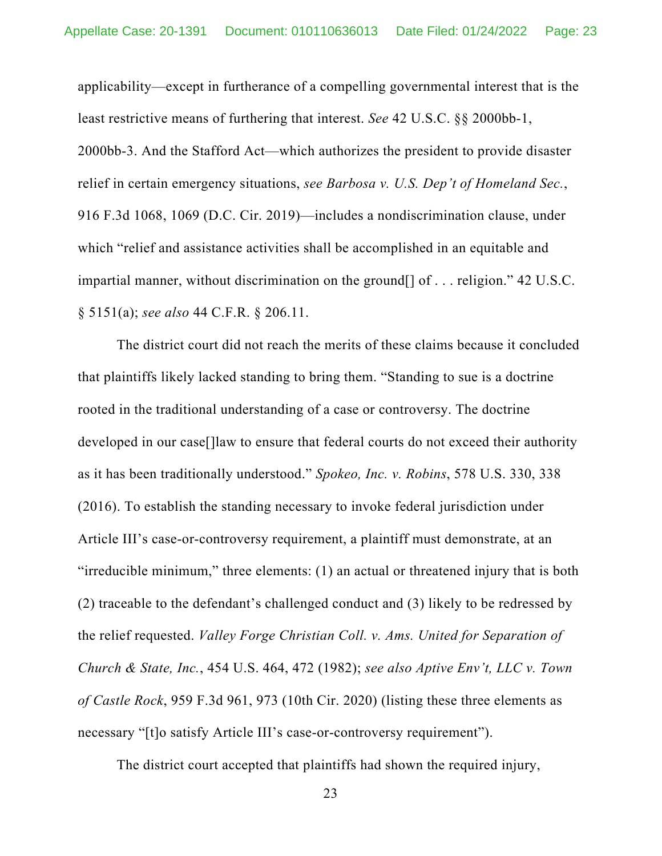applicability—except in furtherance of a compelling governmental interest that is the least restrictive means of furthering that interest. *See* 42 U.S.C. §§ 2000bb-1, 2000bb-3. And the Stafford Act—which authorizes the president to provide disaster relief in certain emergency situations, *see Barbosa v. U.S. Dep't of Homeland Sec.*, 916 F.3d 1068, 1069 (D.C. Cir. 2019)—includes a nondiscrimination clause, under which "relief and assistance activities shall be accomplished in an equitable and impartial manner, without discrimination on the ground[] of . . . religion." 42 U.S.C. § 5151(a); *see also* 44 C.F.R. § 206.11.

The district court did not reach the merits of these claims because it concluded that plaintiffs likely lacked standing to bring them. "Standing to sue is a doctrine rooted in the traditional understanding of a case or controversy. The doctrine developed in our case[]law to ensure that federal courts do not exceed their authority as it has been traditionally understood." *Spokeo, Inc. v. Robins*, 578 U.S. 330, 338 (2016). To establish the standing necessary to invoke federal jurisdiction under Article III's case-or-controversy requirement, a plaintiff must demonstrate, at an "irreducible minimum," three elements: (1) an actual or threatened injury that is both (2) traceable to the defendant's challenged conduct and (3) likely to be redressed by the relief requested. *Valley Forge Christian Coll. v. Ams. United for Separation of Church & State, Inc.*, 454 U.S. 464, 472 (1982); *see also Aptive Env't, LLC v. Town of Castle Rock*, 959 F.3d 961, 973 (10th Cir. 2020) (listing these three elements as necessary "[t]o satisfy Article III's case-or-controversy requirement").

The district court accepted that plaintiffs had shown the required injury,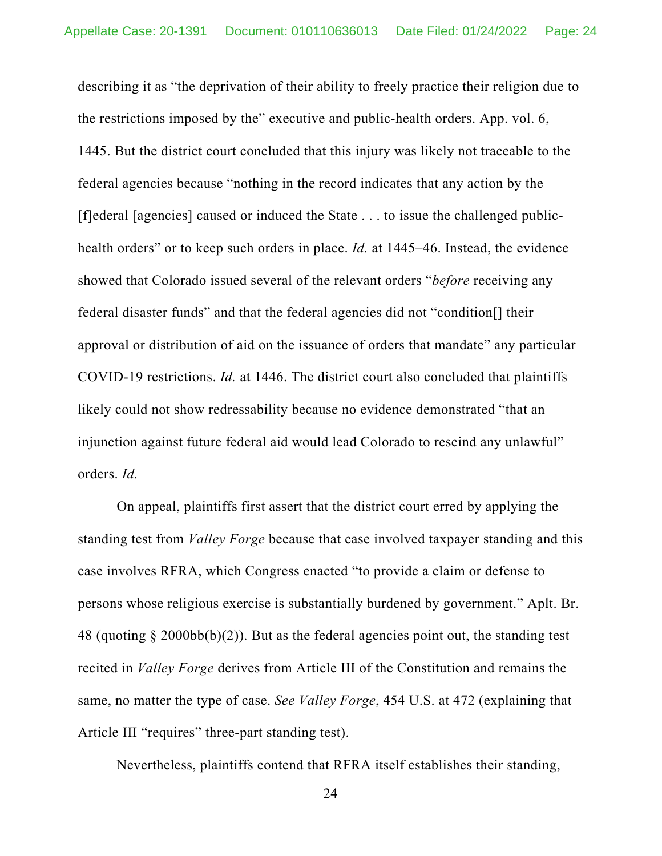describing it as "the deprivation of their ability to freely practice their religion due to the restrictions imposed by the" executive and public-health orders. App. vol. 6, 1445. But the district court concluded that this injury was likely not traceable to the federal agencies because "nothing in the record indicates that any action by the [f]ederal [agencies] caused or induced the State . . . to issue the challenged publichealth orders" or to keep such orders in place. *Id.* at 1445–46. Instead, the evidence showed that Colorado issued several of the relevant orders "*before* receiving any federal disaster funds" and that the federal agencies did not "condition[] their approval or distribution of aid on the issuance of orders that mandate" any particular COVID-19 restrictions. *Id.* at 1446. The district court also concluded that plaintiffs likely could not show redressability because no evidence demonstrated "that an injunction against future federal aid would lead Colorado to rescind any unlawful" orders. *Id.*

On appeal, plaintiffs first assert that the district court erred by applying the standing test from *Valley Forge* because that case involved taxpayer standing and this case involves RFRA, which Congress enacted "to provide a claim or defense to persons whose religious exercise is substantially burdened by government." Aplt. Br. 48 (quoting  $\S 2000bb(b)(2)$ ). But as the federal agencies point out, the standing test recited in *Valley Forge* derives from Article III of the Constitution and remains the same, no matter the type of case. *See Valley Forge*, 454 U.S. at 472 (explaining that Article III "requires" three-part standing test).

Nevertheless, plaintiffs contend that RFRA itself establishes their standing,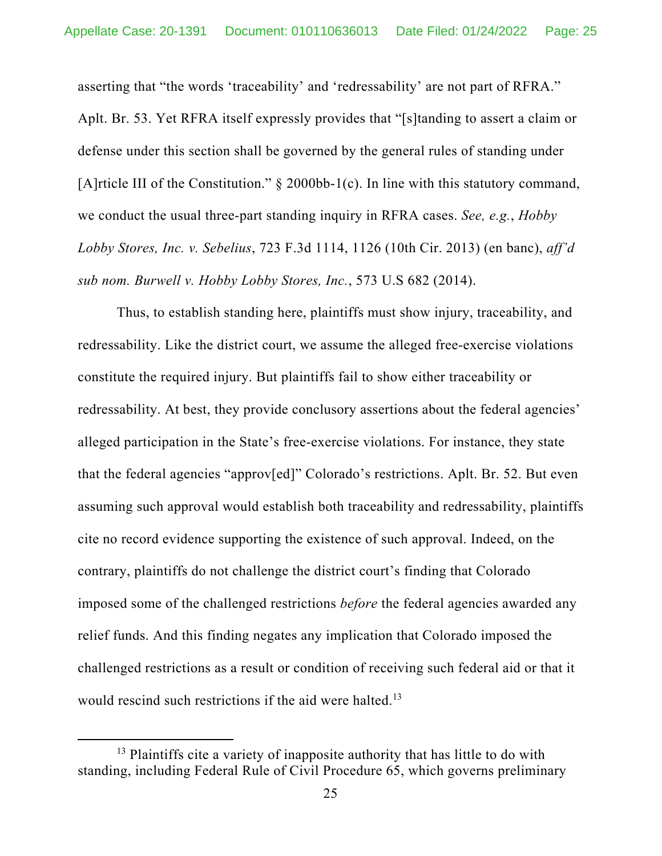asserting that "the words 'traceability' and 'redressability' are not part of RFRA." Aplt. Br. 53. Yet RFRA itself expressly provides that "[s]tanding to assert a claim or defense under this section shall be governed by the general rules of standing under [A]rticle III of the Constitution." § 2000bb-1(c). In line with this statutory command, we conduct the usual three-part standing inquiry in RFRA cases. *See, e.g.*, *Hobby Lobby Stores, Inc. v. Sebelius*, 723 F.3d 1114, 1126 (10th Cir. 2013) (en banc), *aff'd sub nom. Burwell v. Hobby Lobby Stores, Inc.*, 573 U.S 682 (2014).

Thus, to establish standing here, plaintiffs must show injury, traceability, and redressability. Like the district court, we assume the alleged free-exercise violations constitute the required injury. But plaintiffs fail to show either traceability or redressability. At best, they provide conclusory assertions about the federal agencies' alleged participation in the State's free-exercise violations. For instance, they state that the federal agencies "approv[ed]" Colorado's restrictions. Aplt. Br. 52. But even assuming such approval would establish both traceability and redressability, plaintiffs cite no record evidence supporting the existence of such approval. Indeed, on the contrary, plaintiffs do not challenge the district court's finding that Colorado imposed some of the challenged restrictions *before* the federal agencies awarded any relief funds. And this finding negates any implication that Colorado imposed the challenged restrictions as a result or condition of receiving such federal aid or that it would rescind such restrictions if the aid were halted.<sup>13</sup>

<sup>&</sup>lt;sup>13</sup> Plaintiffs cite a variety of inapposite authority that has little to do with standing, including Federal Rule of Civil Procedure 65, which governs preliminary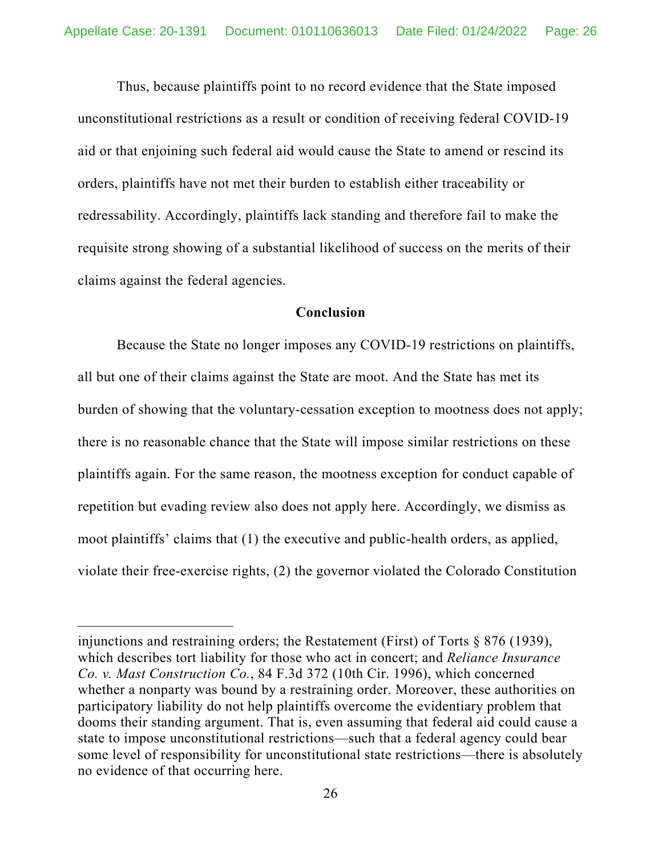Thus, because plaintiffs point to no record evidence that the State imposed unconstitutional restrictions as a result or condition of receiving federal COVID-19 aid or that enjoining such federal aid would cause the State to amend or rescind its orders, plaintiffs have not met their burden to establish either traceability or redressability. Accordingly, plaintiffs lack standing and therefore fail to make the requisite strong showing of a substantial likelihood of success on the merits of their claims against the federal agencies.

## **Conclusion**

Because the State no longer imposes any COVID-19 restrictions on plaintiffs, all but one of their claims against the State are moot. And the State has met its burden of showing that the voluntary-cessation exception to mootness does not apply; there is no reasonable chance that the State will impose similar restrictions on these plaintiffs again. For the same reason, the mootness exception for conduct capable of repetition but evading review also does not apply here. Accordingly, we dismiss as moot plaintiffs' claims that (1) the executive and public-health orders, as applied, violate their free-exercise rights, (2) the governor violated the Colorado Constitution

injunctions and restraining orders; the Restatement (First) of Torts § 876 (1939), which describes tort liability for those who act in concert; and *Reliance Insurance Co. v. Mast Construction Co.*, 84 F.3d 372 (10th Cir. 1996), which concerned whether a nonparty was bound by a restraining order. Moreover, these authorities on participatory liability do not help plaintiffs overcome the evidentiary problem that dooms their standing argument. That is, even assuming that federal aid could cause a state to impose unconstitutional restrictions—such that a federal agency could bear some level of responsibility for unconstitutional state restrictions—there is absolutely no evidence of that occurring here.